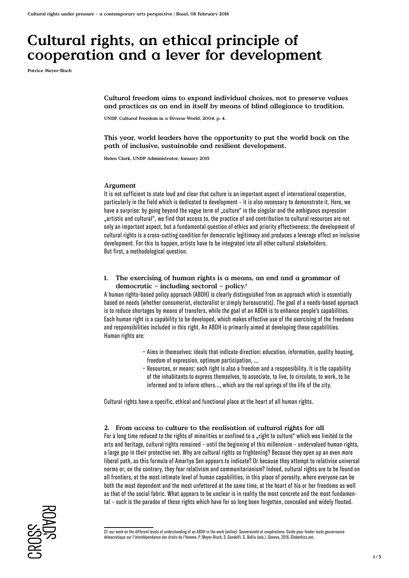# **Cultural rights, an ethical principle of cooperation and a lever for development**

**Patrice Meyer-Bisch**

**Cultural freedom aims to expand individual choices, not to preserve values and practices as an end in itself by means of blind allegiance to tradition.**

**UNDP, Cultural Freedom in a Diverse World, 2004, p. 4.**

**This year, world leaders have the opportunity to put the world back on the path of inclusive, sustainable and resilient development.** 

**Helen Clark, UNDP Administrator, January 2015**

#### **Argument**

It is not sufficient to state loud and clear that culture is an important aspect of international cooperation, particularly in the field which is dedicated to development – it is also necessary to demonstrate it. Here, we have a surprise: by going beyond the vague term of ..culture" in the singular and the ambiguous expression "artistic and cultural", we find that access to, the practice of and contribution to cultural resources are not only an important aspect, but a fundamental question of ethics and priority effectiveness: the development of cultural rights is a cross-cutting condition for democratic legitimacy and produces a leverage effect on inclusive development. For this to happen, artists have to be integrated into all other cultural stakeholders. But first, a methodological question.

### **1. The exercising of human rights is a means, an end and a grammar of democratic – including sectoral – policy.1**

A human rights-based policy approach (ABDH) is clearly distinguished from an approach which is essentially based on needs (whether consumerist, electoralist or simply bureaucratic). The goal of a needs-based approach is to reduce shortages by means of transfers, while the goal of an ABDH is to enhance people's capabilities. Each human right is a capability to be developed, which makes effective use of the exercising of the freedoms and responsibilities included in this right. An ABDH is primarily aimed at developing these capabilities. Human rights are:

- Aims in themselves: ideals that indicate direction: education, information, quality housing, freedom of expression, optimum participation, ...
- Resources, or means: each right is also a freedom and a responsibility. It is the capability of the inhabitants to express themselves, to associate, to live, to circulate, to work, to be informed and to inform others..., which are the real springs of the life of the city.

Cultural rights have a specific, ethical and functional place at the heart of all human rights.

### **2. From access to culture to the realisation of cultural rights for all**

For a long time reduced to the rights of minorities or confined to a "right to culture" which was limited to the arts and heritage, cultural rights remained – until the beginning of this millennium – undervalued human rights, a large gap in their protective net. Why are cultural rights so frightening? Because they open up an even more liberal path, as this formula of Amartya Sen appears to indicate? Or because they attempt to relativise universal norms or, on the contrary, they fear relativism and communitarianism? Indeed, cultural rights are to be found on all frontiers, at the most intimate level of human capabilities, in this place of porosity, where everyone can be both the most dependent and the most unfettered at the same time, at the heart of his or her freedoms as well as that of the social fabric. What appears to be unclear is in reality the most concrete and the most fundamental – such is the paradox of these rights which have for so long been forgotten, concealed and widely flouted.



Cf. our work on the different levels of understanding of an ABDH in the work (online): Souveraineté et coopérations: Guide pour fonder toute gouvernance démocratique sur l'interdépendance des droits de l'homme, P. Meyer-Bisch, S. Gandolfi, G. Balliu (eds.), Geneva, 2016, Globethics.net.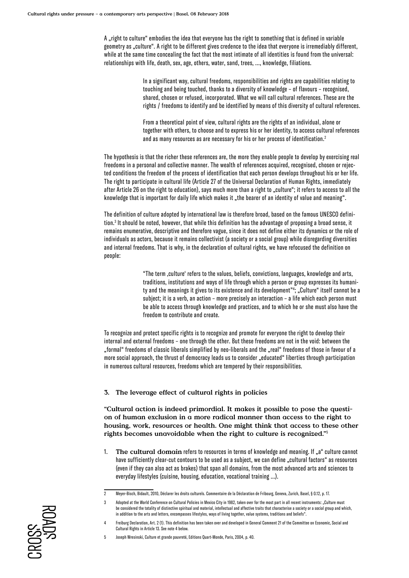A "right to culture" embodies the idea that everyone has the right to something that is defined in variable geometry as "culture". A right to be different gives credence to the idea that everyone is irremediably different, while at the same time concealing the fact that the most intimate of all identities is found from the universal: relationships with life, death, sex, age, others, water, sand, trees, ..., knowledge, filiations.

> In a significant way, cultural freedoms, responsibilities and rights are capabilities relating to touching and being touched, thanks to a diversity of knowledge – of flavours – recognised, shared, chosen or refused, incorporated. What we will call cultural references. These are the rights / freedoms to identify and be identified by means of this diversity of cultural references.

> From a theoretical point of view, cultural rights are the rights of an individual, alone or together with others, to choose and to express his or her identity, to access cultural references and as many resources as are necessary for his or her process of identification.2

The hypothesis is that the richer these references are, the more they enable people to develop by exercising real freedoms in a personal and collective manner. The wealth of references acquired, recognised, chosen or rejected conditions the freedom of the process of identification that each person develops throughout his or her life. The right to participate in cultural life (Article 27 of the Universal Declaration of Human Rights, immediately after Article 26 on the right to education), says much more than a right to "culture"; it refers to access to all the knowledge that is important for daily life which makes it "the bearer of an identity of value and meaning".

The definition of culture adopted by international law is therefore broad, based on the famous UNESCO definition.3 It should be noted, however, that while this definition has the advantage of proposing a broad sense, it remains enumerative, descriptive and therefore vague, since it does not define either its dynamics or the role of individuals as actors, because it remains collectivist (a society or a social group) while disregarding diversities and internal freedoms. That is why, in the declaration of cultural rights, we have refocused the definition on people:

> "The term ,culture' refers to the values, beliefs, convictions, languages, knowledge and arts, traditions, institutions and ways of life through which a person or group expresses its humanity and the meanings it gives to its existence and its development"4; "Culture" itself cannot be a subject; it is a verb, an action – more precisely an interaction – a life which each person must be able to access through knowledge and practices, and to which he or she must also have the freedom to contribute and create.

To recognize and protect specific rights is to recognize and promote for everyone the right to develop their internal and external freedoms – one through the other. But these freedoms are not in the void: between the "formal" freedoms of classic liberals simplified by neo-liberals and the "real" freedoms of those in favour of a more social approach, the thrust of democracy leads us to consider "educated" liberties through participation in numerous cultural resources, freedoms which are tempered by their responsibilities.

# **3. The leverage effect of cultural rights in policies**

**"Cultural action is indeed primordial. It makes it possible to pose the question of human exclusion in a more radical manner than access to the right to housing, work, resources or health. One might think that access to these other rights becomes unavoidable when the right to culture is recognized."**<sup>5</sup>

1. **The cultural domain** refers to resources in terms of knowledge and meaning. If <sub>n</sub>a" culture cannot have sufficiently clear-cut contours to be used as a subject, we can define "cultural factors" as resources (even if they can also act as brakes) that span all domains, from the most advanced arts and sciences to everyday lifestyles (cuisine, housing, education, vocational training …).



<sup>2</sup> Meyer-Bisch, Bidault, 2010, Déclarer les droits culturels. Commentaire de la Déclaration de Fribourg, Geneva, Zurich, Basel, § 0.12, p. 17.

<sup>3</sup> Adopted at the World Conference on Cultural Policies in Mexico City in 1982, taken over for the most part in all recent instruments: "Culture must be considered the totality of distinctive spiritual and material, intellectual and affective traits that characterise a society or a social group and which, in addition to the arts and letters, encompasses lifestyles, ways of living together, value systems, traditions and beliefs".

<sup>4</sup> Freiburg Declaration, Art. 2 (1). This definition has been taken over and developed in General Comment 21 of the Committee on Economic, Social and Cultural Rights in Article 13. See note 4 below.

<sup>5</sup> Joseph Wresinski, Culture et grande pauvreté, Editions Quart-Monde, Paris, 2004, p. 40.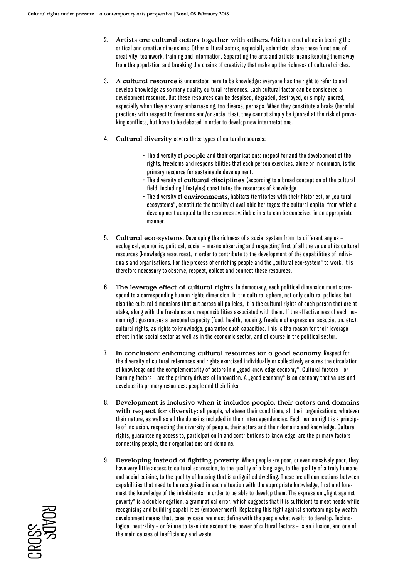- 2. **Artists are cultural actors together with others.** Artists are not alone in bearing the critical and creative dimensions. Other cultural actors, especially scientists, share these functions of creativity, teamwork, training and information. Separating the arts and artists means keeping them away from the population and breaking the chains of creativity that make up the richness of cultural circles.
- 3. **A cultural resource** is understood here to be knowledge: everyone has the right to refer to and develop knowledge as so many quality cultural references. Each cultural factor can be considered a development resource. But these resources can be despised, degraded, destroyed, or simply ignored, especially when they are very embarrassing, too diverse, perhaps. When they constitute a brake (harmful practices with respect to freedoms and/or social ties), they cannot simply be ignored at the risk of provoking conflicts, but have to be debated in order to develop new interpretations.
- 4. **Cultural diversity** covers three types of cultural resources:
	- The diversity of **people** and their organisations: respect for and the development of the rights, freedoms and responsibilities that each person exercises, alone or in common, is the primary resource for sustainable development.
	- The diversity of **cultural disciplines** (according to a broad conception of the cultural field, including lifestyles) constitutes the resources of knowledge.
	- The diversity of environments, habitats (territories with their histories), or "cultural ecosystems", constitute the totality of available heritages: the cultural capital from which a development adapted to the resources available in situ can be conceived in an appropriate manner.
- 5. **Cultural eco-systems**. Developing the richness of a social system from its different angles ecological, economic, political, social – means observing and respecting first of all the value of its cultural resources (knowledge resources), in order to contribute to the development of the capabilities of individuals and organisations. For the process of enriching people and the "cultural eco-system" to work, it is therefore necessary to observe, respect, collect and connect these resources.
- 6. **The leverage effect of cultural rights**. In democracy, each political dimension must correspond to a corresponding human rights dimension. In the cultural sphere, not only cultural policies, but also the cultural dimensions that cut across all policies, it is the cultural rights of each person that are at stake, along with the freedoms and responsibilities associated with them. If the effectiveness of each human right guarantees a personal capacity (food, health, housing, freedom of expression, association, etc.), cultural rights, as rights to knowledge, guarantee such capacities. This is the reason for their leverage effect in the social sector as well as in the economic sector, and of course in the political sector.
- 7. **In conclusion: enhancing cultural resources for a good economy.** Respect for the diversity of cultural references and rights exercised individually or collectively ensures the circulation of knowledge and the complementarity of actors in a "good knowledge economy". Cultural factors – or learning factors - are the primary drivers of innovation. A "good economy" is an economy that values and develops its primary resources: people and their links.
- 8. **Development is inclusive when it includes people, their actors and domains with respect for diversity:** all people, whatever their conditions, all their organisations, whatever their nature, as well as all the domains included in their interdependencies. Each human right is a principle of inclusion, respecting the diversity of people, their actors and their domains and knowledge. Cultural rights, guaranteeing access to, participation in and contributions to knowledge, are the primary factors connecting people, their organisations and domains.
- 9. **Developing instead of fighting poverty.** When people are poor, or even massively poor, they have very little access to cultural expression, to the quality of a language, to the quality of a truly humane and social cuisine, to the quality of housing that is a dignified dwelling. These are all connections between capabilities that need to be recognised in each situation with the appropriate knowledge, first and foremost the knowledge of the inhabitants, in order to be able to develop them. The expression "fight against poverty" is a double negation, a grammatical error, which suggests that it is sufficient to meet needs while recognising and building capabilities (empowerment). Replacing this fight against shortcomings by wealth development means that, case by case, we must define with the people what wealth to develop. Technological neutrality – or failure to take into account the power of cultural factors – is an illusion, and one of the main causes of inefficiency and waste.